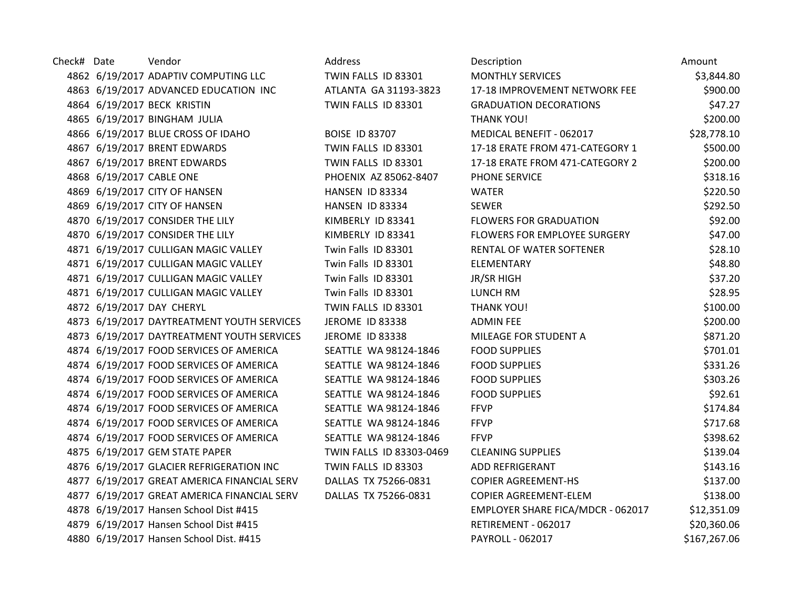| Check# Date | Vendor                                      | Address                  | Description                       | Amount       |
|-------------|---------------------------------------------|--------------------------|-----------------------------------|--------------|
|             | 4862 6/19/2017 ADAPTIV COMPUTING LLC        | TWIN FALLS ID 83301      | <b>MONTHLY SERVICES</b>           | \$3,844.80   |
|             | 4863 6/19/2017 ADVANCED EDUCATION INC       | ATLANTA GA 31193-3823    | 17-18 IMPROVEMENT NETWORK FEE     | \$900.00     |
|             | 4864 6/19/2017 BECK KRISTIN                 | TWIN FALLS ID 83301      | <b>GRADUATION DECORATIONS</b>     | \$47.27      |
|             | 4865 6/19/2017 BINGHAM JULIA                |                          | <b>THANK YOU!</b>                 | \$200.00     |
|             | 4866 6/19/2017 BLUE CROSS OF IDAHO          | <b>BOISE ID 83707</b>    | MEDICAL BENEFIT - 062017          | \$28,778.10  |
|             | 4867 6/19/2017 BRENT EDWARDS                | TWIN FALLS ID 83301      | 17-18 ERATE FROM 471-CATEGORY 1   | \$500.00     |
|             | 4867 6/19/2017 BRENT EDWARDS                | TWIN FALLS ID 83301      | 17-18 ERATE FROM 471-CATEGORY 2   | \$200.00     |
|             | 4868 6/19/2017 CABLE ONE                    | PHOENIX AZ 85062-8407    | PHONE SERVICE                     | \$318.16     |
|             | 4869 6/19/2017 CITY OF HANSEN               | HANSEN ID 83334          | <b>WATER</b>                      | \$220.50     |
|             | 4869 6/19/2017 CITY OF HANSEN               | HANSEN ID 83334          | <b>SEWER</b>                      | \$292.50     |
|             | 4870 6/19/2017 CONSIDER THE LILY            | KIMBERLY ID 83341        | <b>FLOWERS FOR GRADUATION</b>     | \$92.00      |
|             | 4870 6/19/2017 CONSIDER THE LILY            | KIMBERLY ID 83341        | FLOWERS FOR EMPLOYEE SURGERY      | \$47.00      |
|             | 4871 6/19/2017 CULLIGAN MAGIC VALLEY        | Twin Falls ID 83301      | RENTAL OF WATER SOFTENER          | \$28.10      |
|             | 4871 6/19/2017 CULLIGAN MAGIC VALLEY        | Twin Falls ID 83301      | <b>ELEMENTARY</b>                 | \$48.80      |
|             | 4871 6/19/2017 CULLIGAN MAGIC VALLEY        | Twin Falls ID 83301      | <b>JR/SR HIGH</b>                 | \$37.20      |
|             | 4871 6/19/2017 CULLIGAN MAGIC VALLEY        | Twin Falls ID 83301      | LUNCH RM                          | \$28.95      |
|             | 4872 6/19/2017 DAY CHERYL                   | TWIN FALLS ID 83301      | <b>THANK YOU!</b>                 | \$100.00     |
|             | 4873 6/19/2017 DAYTREATMENT YOUTH SERVICES  | <b>JEROME ID 83338</b>   | <b>ADMIN FEE</b>                  | \$200.00     |
|             | 4873 6/19/2017 DAYTREATMENT YOUTH SERVICES  | JEROME ID 83338          | MILEAGE FOR STUDENT A             | \$871.20     |
|             | 4874 6/19/2017 FOOD SERVICES OF AMERICA     | SEATTLE WA 98124-1846    | <b>FOOD SUPPLIES</b>              | \$701.01     |
|             | 4874 6/19/2017 FOOD SERVICES OF AMERICA     | SEATTLE WA 98124-1846    | <b>FOOD SUPPLIES</b>              | \$331.26     |
|             | 4874 6/19/2017 FOOD SERVICES OF AMERICA     | SEATTLE WA 98124-1846    | <b>FOOD SUPPLIES</b>              | \$303.26     |
|             | 4874 6/19/2017 FOOD SERVICES OF AMERICA     | SEATTLE WA 98124-1846    | <b>FOOD SUPPLIES</b>              | \$92.61      |
|             | 4874 6/19/2017 FOOD SERVICES OF AMERICA     | SEATTLE WA 98124-1846    | <b>FFVP</b>                       | \$174.84     |
|             | 4874 6/19/2017 FOOD SERVICES OF AMERICA     | SEATTLE WA 98124-1846    | <b>FFVP</b>                       | \$717.68     |
|             | 4874 6/19/2017 FOOD SERVICES OF AMERICA     | SEATTLE WA 98124-1846    | <b>FFVP</b>                       | \$398.62     |
|             | 4875 6/19/2017 GEM STATE PAPER              | TWIN FALLS ID 83303-0469 | <b>CLEANING SUPPLIES</b>          | \$139.04     |
|             | 4876 6/19/2017 GLACIER REFRIGERATION INC    | TWIN FALLS ID 83303      | <b>ADD REFRIGERANT</b>            | \$143.16     |
|             | 4877 6/19/2017 GREAT AMERICA FINANCIAL SERV | DALLAS TX 75266-0831     | <b>COPIER AGREEMENT-HS</b>        | \$137.00     |
|             | 4877 6/19/2017 GREAT AMERICA FINANCIAL SERV | DALLAS TX 75266-0831     | COPIER AGREEMENT-ELEM             | \$138.00     |
|             | 4878 6/19/2017 Hansen School Dist #415      |                          | EMPLOYER SHARE FICA/MDCR - 062017 | \$12,351.09  |
|             | 4879 6/19/2017 Hansen School Dist #415      |                          | RETIREMENT - 062017               | \$20,360.06  |
|             | 4880 6/19/2017 Hansen School Dist. #415     |                          | PAYROLL - 062017                  | \$167,267.06 |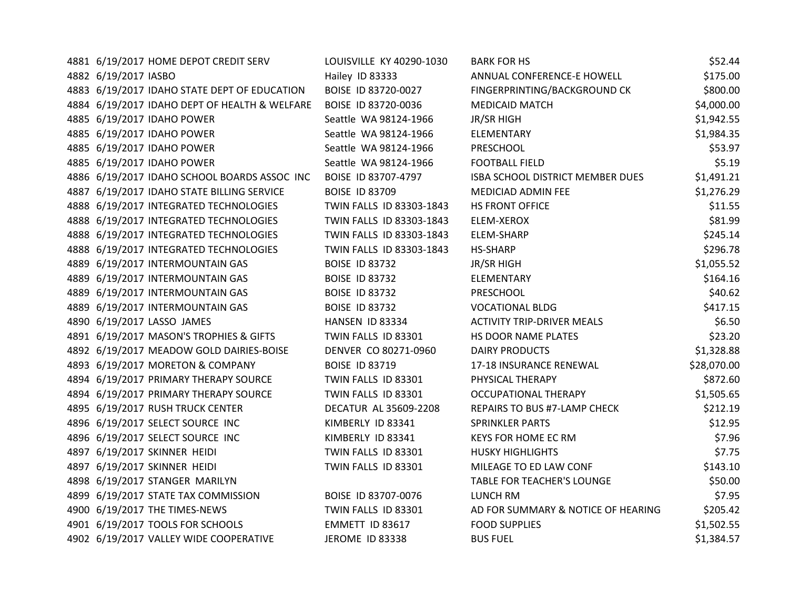| 4881 6/19/2017 HOME DEPOT CREDIT SERV         | LOUISVILLE KY 40290-1030 | <b>BARK FOR HS</b>                 | \$52.44     |
|-----------------------------------------------|--------------------------|------------------------------------|-------------|
| 4882 6/19/2017 IASBO                          | Hailey ID 83333          | ANNUAL CONFERENCE-E HOWELL         | \$175.00    |
| 4883 6/19/2017 IDAHO STATE DEPT OF EDUCATION  | BOISE ID 83720-0027      | FINGERPRINTING/BACKGROUND CK       | \$800.00    |
| 4884 6/19/2017 IDAHO DEPT OF HEALTH & WELFARE | BOISE ID 83720-0036      | <b>MEDICAID MATCH</b>              | \$4,000.00  |
| 4885 6/19/2017 IDAHO POWER                    | Seattle WA 98124-1966    | JR/SR HIGH                         | \$1,942.55  |
| 4885 6/19/2017 IDAHO POWER                    | Seattle WA 98124-1966    | ELEMENTARY                         | \$1,984.35  |
| 4885 6/19/2017 IDAHO POWER                    | Seattle WA 98124-1966    | PRESCHOOL                          | \$53.97     |
| 4885 6/19/2017 IDAHO POWER                    | Seattle WA 98124-1966    | <b>FOOTBALL FIELD</b>              | \$5.19      |
| 4886 6/19/2017 IDAHO SCHOOL BOARDS ASSOC INC  | BOISE ID 83707-4797      | ISBA SCHOOL DISTRICT MEMBER DUES   | \$1,491.21  |
| 4887 6/19/2017 IDAHO STATE BILLING SERVICE    | <b>BOISE ID 83709</b>    | MEDICIAD ADMIN FEE                 | \$1,276.29  |
| 4888 6/19/2017 INTEGRATED TECHNOLOGIES        | TWIN FALLS ID 83303-1843 | HS FRONT OFFICE                    | \$11.55     |
| 4888 6/19/2017 INTEGRATED TECHNOLOGIES        | TWIN FALLS ID 83303-1843 | <b>ELEM-XEROX</b>                  | \$81.99     |
| 4888 6/19/2017 INTEGRATED TECHNOLOGIES        | TWIN FALLS ID 83303-1843 | <b>ELEM-SHARP</b>                  | \$245.14    |
| 4888 6/19/2017 INTEGRATED TECHNOLOGIES        | TWIN FALLS ID 83303-1843 | HS-SHARP                           | \$296.78    |
| 4889 6/19/2017 INTERMOUNTAIN GAS              | <b>BOISE ID 83732</b>    | JR/SR HIGH                         | \$1,055.52  |
| 4889 6/19/2017 INTERMOUNTAIN GAS              | <b>BOISE ID 83732</b>    | ELEMENTARY                         | \$164.16    |
| 4889 6/19/2017 INTERMOUNTAIN GAS              | <b>BOISE ID 83732</b>    | PRESCHOOL                          | \$40.62     |
| 4889 6/19/2017 INTERMOUNTAIN GAS              | <b>BOISE ID 83732</b>    | <b>VOCATIONAL BLDG</b>             | \$417.15    |
| 4890 6/19/2017 LASSO JAMES                    | <b>HANSEN ID 83334</b>   | <b>ACTIVITY TRIP-DRIVER MEALS</b>  | \$6.50      |
| 4891 6/19/2017 MASON'S TROPHIES & GIFTS       | TWIN FALLS ID 83301      | HS DOOR NAME PLATES                | \$23.20     |
| 4892 6/19/2017 MEADOW GOLD DAIRIES-BOISE      | DENVER CO 80271-0960     | DAIRY PRODUCTS                     | \$1,328.88  |
| 4893 6/19/2017 MORETON & COMPANY              | <b>BOISE ID 83719</b>    | 17-18 INSURANCE RENEWAL            | \$28,070.00 |
| 4894 6/19/2017 PRIMARY THERAPY SOURCE         | TWIN FALLS ID 83301      | PHYSICAL THERAPY                   | \$872.60    |
| 4894 6/19/2017 PRIMARY THERAPY SOURCE         | TWIN FALLS ID 83301      | <b>OCCUPATIONAL THERAPY</b>        | \$1,505.65  |
| 4895 6/19/2017 RUSH TRUCK CENTER              | DECATUR AL 35609-2208    | REPAIRS TO BUS #7-LAMP CHECK       | \$212.19    |
| 4896 6/19/2017 SELECT SOURCE INC              | KIMBERLY ID 83341        | <b>SPRINKLER PARTS</b>             | \$12.95     |
| 4896 6/19/2017 SELECT SOURCE INC              | KIMBERLY ID 83341        | <b>KEYS FOR HOME EC RM</b>         | \$7.96      |
| 4897 6/19/2017 SKINNER HEIDI                  | TWIN FALLS ID 83301      | <b>HUSKY HIGHLIGHTS</b>            | \$7.75      |
| 4897 6/19/2017 SKINNER HEIDI                  | TWIN FALLS ID 83301      | MILEAGE TO ED LAW CONF             | \$143.10    |
| 4898 6/19/2017 STANGER MARILYN                |                          | TABLE FOR TEACHER'S LOUNGE         | \$50.00     |
| 4899 6/19/2017 STATE TAX COMMISSION           | BOISE ID 83707-0076      | <b>LUNCH RM</b>                    | \$7.95      |
| 4900 6/19/2017 THE TIMES-NEWS                 | TWIN FALLS ID 83301      | AD FOR SUMMARY & NOTICE OF HEARING | \$205.42    |
| 4901 6/19/2017 TOOLS FOR SCHOOLS              | EMMETT ID 83617          | <b>FOOD SUPPLIES</b>               | \$1,502.55  |
| 4902 6/19/2017 VALLEY WIDE COOPERATIVE        | JEROME ID 83338          | <b>BUS FUEL</b>                    | \$1,384.57  |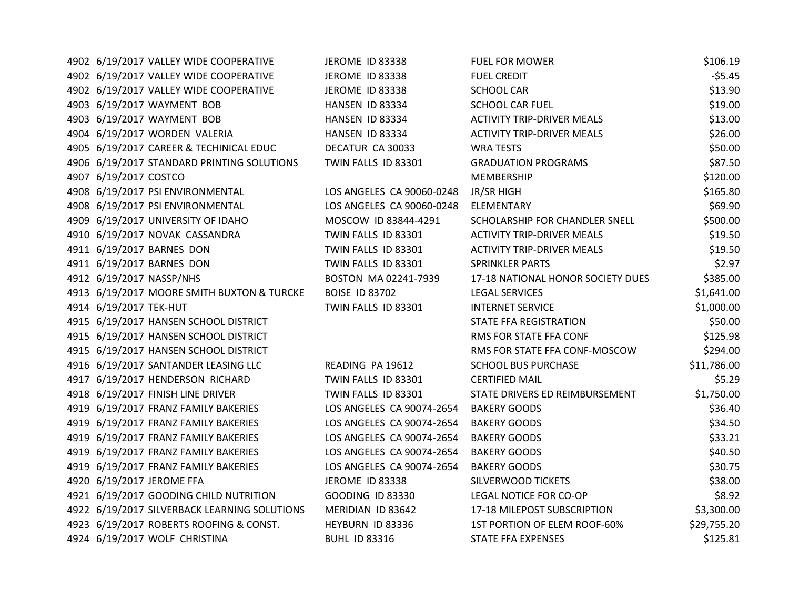| 4902 6/19/2017 VALLEY WIDE COOPERATIVE       | JEROME ID 83338           | <b>FUEL FOR MOWER</b>             | \$106.19    |
|----------------------------------------------|---------------------------|-----------------------------------|-------------|
| 4902 6/19/2017 VALLEY WIDE COOPERATIVE       | JEROME ID 83338           | <b>FUEL CREDIT</b>                | $-55.45$    |
| 4902 6/19/2017 VALLEY WIDE COOPERATIVE       | JEROME ID 83338           | <b>SCHOOL CAR</b>                 | \$13.90     |
| 4903 6/19/2017 WAYMENT BOB                   | <b>HANSEN ID 83334</b>    | <b>SCHOOL CAR FUEL</b>            | \$19.00     |
| 4903 6/19/2017 WAYMENT BOB                   | HANSEN ID 83334           | <b>ACTIVITY TRIP-DRIVER MEALS</b> | \$13.00     |
| 4904 6/19/2017 WORDEN VALERIA                | HANSEN ID 83334           | <b>ACTIVITY TRIP-DRIVER MEALS</b> | \$26.00     |
| 4905 6/19/2017 CAREER & TECHINICAL EDUC      | DECATUR CA 30033          | <b>WRA TESTS</b>                  | \$50.00     |
| 4906 6/19/2017 STANDARD PRINTING SOLUTIONS   | TWIN FALLS ID 83301       | <b>GRADUATION PROGRAMS</b>        | \$87.50     |
| 4907 6/19/2017 COSTCO                        |                           | MEMBERSHIP                        | \$120.00    |
| 4908 6/19/2017 PSI ENVIRONMENTAL             | LOS ANGELES CA 90060-0248 | JR/SR HIGH                        | \$165.80    |
| 4908 6/19/2017 PSI ENVIRONMENTAL             | LOS ANGELES CA 90060-0248 | ELEMENTARY                        | \$69.90     |
| 4909 6/19/2017 UNIVERSITY OF IDAHO           | MOSCOW ID 83844-4291      | SCHOLARSHIP FOR CHANDLER SNELL    | \$500.00    |
| 4910 6/19/2017 NOVAK CASSANDRA               | TWIN FALLS ID 83301       | <b>ACTIVITY TRIP-DRIVER MEALS</b> | \$19.50     |
| 4911 6/19/2017 BARNES DON                    | TWIN FALLS ID 83301       | <b>ACTIVITY TRIP-DRIVER MEALS</b> | \$19.50     |
| 4911 6/19/2017 BARNES DON                    | TWIN FALLS ID 83301       | <b>SPRINKLER PARTS</b>            | \$2.97      |
| 4912 6/19/2017 NASSP/NHS                     | BOSTON MA 02241-7939      | 17-18 NATIONAL HONOR SOCIETY DUES | \$385.00    |
| 4913 6/19/2017 MOORE SMITH BUXTON & TURCKE   | <b>BOISE ID 83702</b>     | <b>LEGAL SERVICES</b>             | \$1,641.00  |
| 4914 6/19/2017 TEK-HUT                       | TWIN FALLS ID 83301       | <b>INTERNET SERVICE</b>           | \$1,000.00  |
| 4915 6/19/2017 HANSEN SCHOOL DISTRICT        |                           | STATE FFA REGISTRATION            | \$50.00     |
| 4915 6/19/2017 HANSEN SCHOOL DISTRICT        |                           | RMS FOR STATE FFA CONF            | \$125.98    |
| 4915 6/19/2017 HANSEN SCHOOL DISTRICT        |                           | RMS FOR STATE FFA CONF-MOSCOW     | \$294.00    |
| 4916 6/19/2017 SANTANDER LEASING LLC         | READING PA 19612          | <b>SCHOOL BUS PURCHASE</b>        | \$11,786.00 |
| 4917 6/19/2017 HENDERSON RICHARD             | TWIN FALLS ID 83301       | <b>CERTIFIED MAIL</b>             | \$5.29      |
| 4918 6/19/2017 FINISH LINE DRIVER            | TWIN FALLS ID 83301       | STATE DRIVERS ED REIMBURSEMENT    | \$1,750.00  |
| 4919 6/19/2017 FRANZ FAMILY BAKERIES         | LOS ANGELES CA 90074-2654 | <b>BAKERY GOODS</b>               | \$36.40     |
| 4919 6/19/2017 FRANZ FAMILY BAKERIES         | LOS ANGELES CA 90074-2654 | <b>BAKERY GOODS</b>               | \$34.50     |
| 4919 6/19/2017 FRANZ FAMILY BAKERIES         | LOS ANGELES CA 90074-2654 | <b>BAKERY GOODS</b>               | \$33.21     |
| 4919 6/19/2017 FRANZ FAMILY BAKERIES         | LOS ANGELES CA 90074-2654 | <b>BAKERY GOODS</b>               | \$40.50     |
| 4919 6/19/2017 FRANZ FAMILY BAKERIES         | LOS ANGELES CA 90074-2654 | <b>BAKERY GOODS</b>               | \$30.75     |
| 4920 6/19/2017 JEROME FFA                    | <b>JEROME ID 83338</b>    | SILVERWOOD TICKETS                | \$38.00     |
| 4921 6/19/2017 GOODING CHILD NUTRITION       | <b>GOODING ID 83330</b>   | LEGAL NOTICE FOR CO-OP            | \$8.92      |
| 4922 6/19/2017 SILVERBACK LEARNING SOLUTIONS | MERIDIAN ID 83642         | 17-18 MILEPOST SUBSCRIPTION       | \$3,300.00  |
| 4923 6/19/2017 ROBERTS ROOFING & CONST.      | HEYBURN ID 83336          | 1ST PORTION OF ELEM ROOF-60%      | \$29,755.20 |
| 4924 6/19/2017 WOLF CHRISTINA                | <b>BUHL ID 83316</b>      | <b>STATE FFA EXPENSES</b>         | \$125.81    |
|                                              |                           |                                   |             |